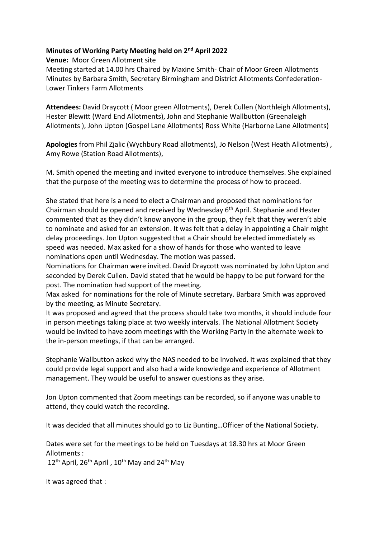## **Minutes of Working Party Meeting held on 2nd April 2022**

**Venue:** Moor Green Allotment site

Meeting started at 14.00 hrs Chaired by Maxine Smith- Chair of Moor Green Allotments Minutes by Barbara Smith, Secretary Birmingham and District Allotments Confederation-Lower Tinkers Farm Allotments

**Attendees:** David Draycott ( Moor green Allotments), Derek Cullen (Northleigh Allotments), Hester Blewitt (Ward End Allotments), John and Stephanie Wallbutton (Greenaleigh Allotments ), John Upton (Gospel Lane Allotments) Ross White (Harborne Lane Allotments)

**Apologies** from Phil Zjalic (Wychbury Road allotments), Jo Nelson (West Heath Allotments) , Amy Rowe (Station Road Allotments),

M. Smith opened the meeting and invited everyone to introduce themselves. She explained that the purpose of the meeting was to determine the process of how to proceed.

She stated that here is a need to elect a Chairman and proposed that nominations for Chairman should be opened and received by Wednesday 6th April. Stephanie and Hester commented that as they didn't know anyone in the group, they felt that they weren't able to nominate and asked for an extension. It was felt that a delay in appointing a Chair might delay proceedings. Jon Upton suggested that a Chair should be elected immediately as speed was needed. Max asked for a show of hands for those who wanted to leave nominations open until Wednesday. The motion was passed.

Nominations for Chairman were invited. David Draycott was nominated by John Upton and seconded by Derek Cullen. David stated that he would be happy to be put forward for the post. The nomination had support of the meeting.

Max asked for nominations for the role of Minute secretary. Barbara Smith was approved by the meeting, as Minute Secretary.

It was proposed and agreed that the process should take two months, it should include four in person meetings taking place at two weekly intervals. The National Allotment Society would be invited to have zoom meetings with the Working Party in the alternate week to the in-person meetings, if that can be arranged.

Stephanie Wallbutton asked why the NAS needed to be involved. It was explained that they could provide legal support and also had a wide knowledge and experience of Allotment management. They would be useful to answer questions as they arise.

Jon Upton commented that Zoom meetings can be recorded, so if anyone was unable to attend, they could watch the recording.

It was decided that all minutes should go to Liz Bunting…Officer of the National Society.

Dates were set for the meetings to be held on Tuesdays at 18.30 hrs at Moor Green Allotments :

 $12^{th}$  April,  $26^{th}$  April,  $10^{th}$  May and  $24^{th}$  May

It was agreed that :